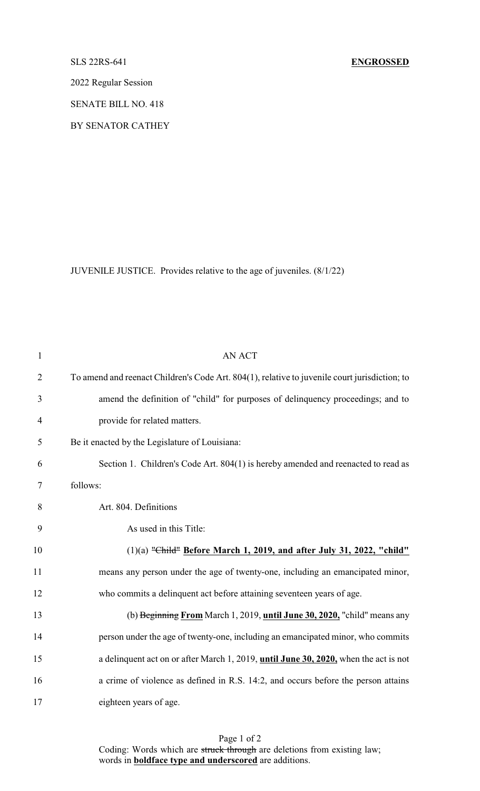2022 Regular Session

SENATE BILL NO. 418

BY SENATOR CATHEY

JUVENILE JUSTICE. Provides relative to the age of juveniles. (8/1/22)

| $\mathbf{1}$   | <b>AN ACT</b>                                                                                 |
|----------------|-----------------------------------------------------------------------------------------------|
| $\overline{2}$ | To amend and reenact Children's Code Art. 804(1), relative to juvenile court jurisdiction; to |
| 3              | amend the definition of "child" for purposes of delinquency proceedings; and to               |
| $\overline{4}$ | provide for related matters.                                                                  |
| 5              | Be it enacted by the Legislature of Louisiana:                                                |
| 6              | Section 1. Children's Code Art. 804(1) is hereby amended and reenacted to read as             |
| 7              | follows:                                                                                      |
| 8              | Art. 804. Definitions                                                                         |
| 9              | As used in this Title:                                                                        |
| 10             | $(1)(a)$ "Child" Before March 1, 2019, and after July 31, 2022, "child"                       |
| 11             | means any person under the age of twenty-one, including an emancipated minor,                 |
| 12             | who commits a delinquent act before attaining seventeen years of age.                         |
| 13             | (b) Beginning From March 1, 2019, until June 30, 2020, "child" means any                      |
| 14             | person under the age of twenty-one, including an emancipated minor, who commits               |
| 15             | a delinquent act on or after March 1, 2019, until June 30, 2020, when the act is not          |
| 16             | a crime of violence as defined in R.S. 14:2, and occurs before the person attains             |
| 17             | eighteen years of age.                                                                        |

Page 1 of 2 Coding: Words which are struck through are deletions from existing law; words in **boldface type and underscored** are additions.